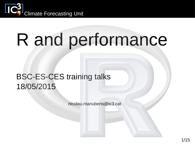

# R and performance

### BSC-ES-CES training talks 18/05/2015

nicolau.manubens@ic3.cat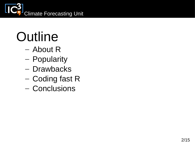

### **Outline**

- About R
- Popularity
- Drawbacks
- Coding fast R
- Conclusions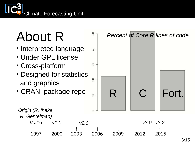

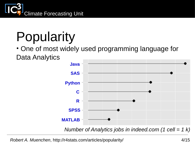

# Popularity

### • One of most widely used programming language for Data Analytics



*Robert A. Muenchen*, http://r4stats.com/articles/popularity/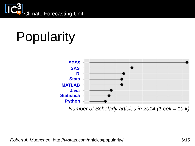

# Popularity



*Number of Scholarly articles in 2014 (1 cell = 10 k)*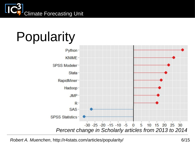

## Popularity



*Robert A. Muenchen*, http://r4stats.com/articles/popularity/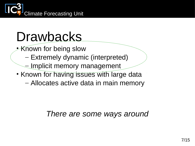

### Drawbacks

- Known for being slow
	- Extremely dynamic (interpreted)
	- Implicit memory management
- Known for having issues with large data – Allocates active data in main memory

### *There are some ways around*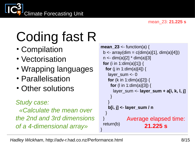

- Compilation
- Vectorisation
- Wrapping languages
- Parallelisation
- Other solutions

#### *Study case:*

 *«Calculate the mean over the 2nd and 3rd dimensions of a 4-dimensional array»*

```
mean 23 \le function(a) {
 b \leq -\arctan(\dim = c(\dim(a)[1], \dim(a)[4]))n < - dim(a)[2] * dim(a)[3]
  for (i in 1:dim(a)[1]) {
   for (j in 1:dim(a)[4]) {
     layer_sum <- 0
     for (k in 1:dim(a)[2]) {
      for (l in 1:dim(a)[3]) {
       layer_sum <- layer_sum + a[i, k, l, j]
 }
 }
     b[i, j] <- layer_sum / n
 }
 }
  return(b)
}
              Average elapsed time: 
                        21.225 s
```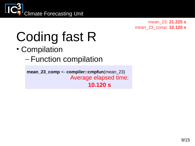

mean\_23: **21.225 s** mean\_23\_comp: **10.120 s**

### Coding fast R

### • Compilation

– Function compilation

**mean\_23\_comp** <- **compiler::cmpfun**(mean\_23) Average elapsed time: **10.120 s**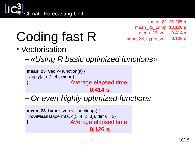

mean\_23: **21.225 s** mean\_23\_comp: **10.120 s** mean\_23\_vec: **0.414 s** mean\_23\_hyper\_vec: **0.126 s**

### Coding fast R

- Vectorisation
	- *«Using R basic optimized functions»*

```
mean_23_vec <- function(a) {
 apply(a, c(1, 4), mean)
} Average elapsed time: 
                       0.414 s
```
– *Or even highly optimized functions*

**mean\_23\_hyper\_vec** <- function(a) { **rowMeans**(aperm(a,  $c(1, 4, 2, 3)$ ), dims = 2) } Average elapsed time: **0.126 s**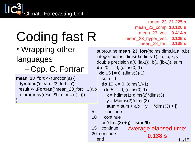

• Wrapping other

languages

– Cpp, C, Fortran

**mean\_23\_fort** <- function(a) { **dyn.load**('mean\_23\_fort.so') result <- **.Fortran**("mean\_23\_fort", ...)\$b return(array(result\$b, dim =  $c(...)$ ) }

mean\_23: **21.225 s** mean\_23\_comp: **10.120 s** mean\_23\_vec: **0.414 s** mean\_23\_hyper\_vec: **0.126 s** mean\_23\_fort: **0.138 s**

subroutine **mean\_23\_fort**(ndims,dims,la,a,lb,b) integer ndims, dims(0:ndims-1), la, lb, x, y double precision  $a(0:(la-1))$ ,  $b(0:(lb-1))$ , sum **do** 20 i = 0, (dims(0)-1) **do**  $15$  j = 0, (dims(3)-1)  $sum = 0$ **do** 10 k = 0, (dims(1)-1) **do**  $5 = 0$ , (dims(0)-1)  $x = i*dims(1)*dims(2)*dims(3)$  $y = k*dim(s(2)*dim(s(3))$ **sum** = sum +  $a(x + y + |*dims(3) + i)$  5 continue 10 continue  $b(i*dims(3) + j) = \text{sum/lb}$  15 continue 20 continue end 11/15 Average elapsed time: **0.138 s**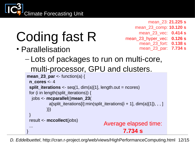

• Parallelisation

...

}

mean\_23: **21.225 s** mean\_23\_comp: **10.120 s** mean\_23\_vec: **0.414 s** mean\_23\_hyper\_vec: **0.126 s** mean\_23\_fort: **0.138 s** mean\_23\_par: **7.734 s**

```
mean_23_par <- function(a) {
   n_cores <- 4
   split_iterations <- seq(1, dim(a)[1], length.out = ncores)
 for (i in length(split_iterations)) {
    jobs <- mcparallel({mean_23(
           a[split_iterations[i]:min(split_iterations[i + 1], dim(a)[1]), , , ]
           )})
  }
   result <- mccollect(jobs)
– Lots of packages to run on multi-core, 
  multi-processor, GPU and clusters.
```

```
Average elapsed time: 
       7.734 s
```
12/15 *D. Eddelbuettel*, http://cran.r-project.org/web/views/HighPerformanceComputing.html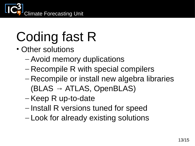

- Other solutions
	- Avoid memory duplications
	- Recompile R with special compilers
	- Recompile or install new algebra libraries  $(BLAS \rightarrow ATLAS, OpenBLAS)$
	- Keep R up-to-date
	- Install R versions tuned for speed
	- Look for already existing solutions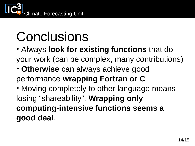

### Conclusions

• Always **look for existing functions** that do your work (can be complex, many contributions)

• **Otherwise** can always achieve good performance **wrapping Fortran or C**

• Moving completely to other language means losing "shareability". **Wrapping only computing-intensive functions seems a good deal**.